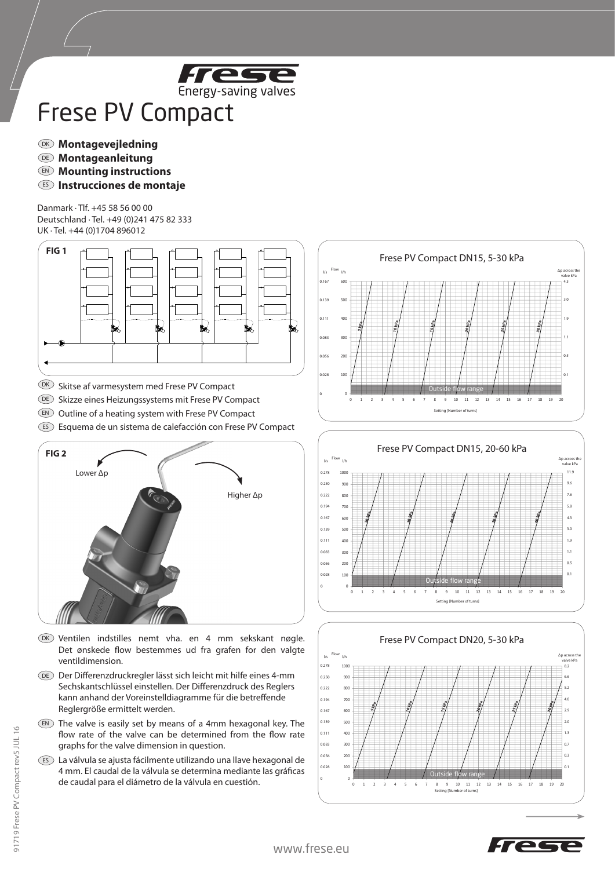

## Frese PV Compact

- $\overline{\text{MS}}$  Montagevejledning
- **Montageanleitung** DE
- $\mathbb{D}$  Mounting instructions
- $\bf \Xi$  Instrucciones de montaje

Danmark · Tlf. +45 58 56 00 00 Deutschland · Tel. +49 (0)241 475 82 333 UK · Tel. +44 (0)1704 896012





- $(X)$  Ventilen indstilles nemt vha. en 4 mm sekskant nøgle. Det ønskede flow bestemmes ud fra grafen for den valgte ventildimension.
- Der Differenzdruckregler lässt sich leicht mit hilfe eines 4-mm DE Sechskantschlüssel einstellen. Der Differenzdruck des Reglers kann anhand der Voreinstelldiagramme für die betreffende Reglergröße ermittelt werden.
- $\mathbb{E}$  The valve is easily set by means of a 4mm hexagonal key. The flow rate of the valve can be determined from the flow rate graphs for the valve dimension in question.
- La válvula se ajusta fácilmente utilizando una llave hexagonal de ES 4 mm. El caudal de la válvula se determina mediante las gráficas de caudal para el diámetro de la válvula en cuestión.